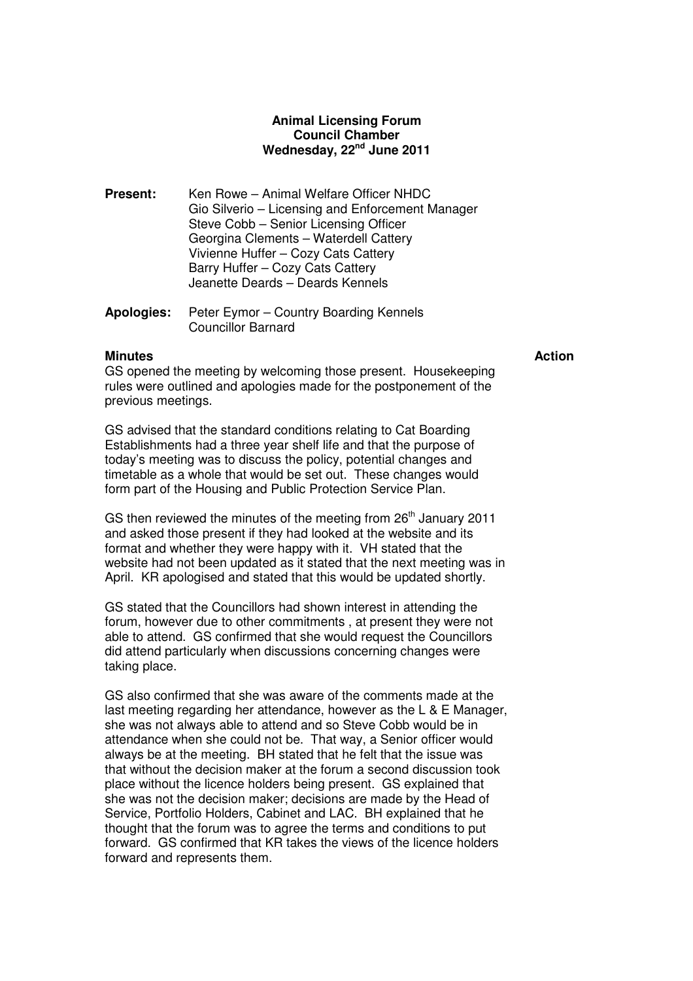# **Animal Licensing Forum Council Chamber Wednesday, 22nd June 2011**

- **Present:** Ken Rowe Animal Welfare Officer NHDC Gio Silverio – Licensing and Enforcement Manager Steve Cobb – Senior Licensing Officer Georgina Clements – Waterdell Cattery Vivienne Huffer – Cozy Cats Cattery Barry Huffer – Cozy Cats Cattery Jeanette Deards – Deards Kennels
- **Apologies:** Peter Eymor Country Boarding Kennels Councillor Barnard

### **Minutes Action** Action **Action**

GS opened the meeting by welcoming those present. Housekeeping rules were outlined and apologies made for the postponement of the previous meetings.

GS advised that the standard conditions relating to Cat Boarding Establishments had a three year shelf life and that the purpose of today's meeting was to discuss the policy, potential changes and timetable as a whole that would be set out. These changes would form part of the Housing and Public Protection Service Plan.

GS then reviewed the minutes of the meeting from 26<sup>th</sup> January 2011 and asked those present if they had looked at the website and its format and whether they were happy with it. VH stated that the website had not been updated as it stated that the next meeting was in April. KR apologised and stated that this would be updated shortly.

GS stated that the Councillors had shown interest in attending the forum, however due to other commitments , at present they were not able to attend. GS confirmed that she would request the Councillors did attend particularly when discussions concerning changes were taking place.

GS also confirmed that she was aware of the comments made at the last meeting regarding her attendance, however as the L & E Manager, she was not always able to attend and so Steve Cobb would be in attendance when she could not be. That way, a Senior officer would always be at the meeting. BH stated that he felt that the issue was that without the decision maker at the forum a second discussion took place without the licence holders being present. GS explained that she was not the decision maker; decisions are made by the Head of Service, Portfolio Holders, Cabinet and LAC. BH explained that he thought that the forum was to agree the terms and conditions to put forward. GS confirmed that KR takes the views of the licence holders forward and represents them.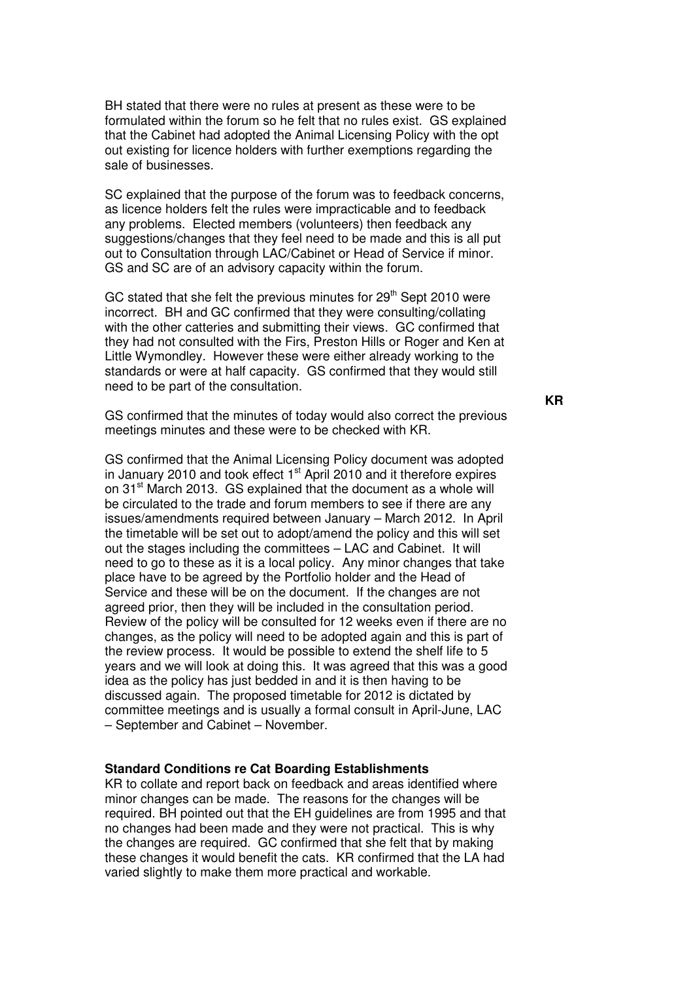BH stated that there were no rules at present as these were to be formulated within the forum so he felt that no rules exist. GS explained that the Cabinet had adopted the Animal Licensing Policy with the opt out existing for licence holders with further exemptions regarding the sale of businesses.

SC explained that the purpose of the forum was to feedback concerns, as licence holders felt the rules were impracticable and to feedback any problems. Elected members (volunteers) then feedback any suggestions/changes that they feel need to be made and this is all put out to Consultation through LAC/Cabinet or Head of Service if minor. GS and SC are of an advisory capacity within the forum.

GC stated that she felt the previous minutes for  $29<sup>th</sup>$  Sept 2010 were incorrect. BH and GC confirmed that they were consulting/collating with the other catteries and submitting their views. GC confirmed that they had not consulted with the Firs, Preston Hills or Roger and Ken at Little Wymondley. However these were either already working to the standards or were at half capacity. GS confirmed that they would still need to be part of the consultation.

GS confirmed that the minutes of today would also correct the previous meetings minutes and these were to be checked with KR.

GS confirmed that the Animal Licensing Policy document was adopted in January 2010 and took effect  $1<sup>st</sup>$  April 2010 and it therefore expires on 31<sup>st</sup> March 2013. GS explained that the document as a whole will be circulated to the trade and forum members to see if there are any issues/amendments required between January – March 2012. In April the timetable will be set out to adopt/amend the policy and this will set out the stages including the committees – LAC and Cabinet. It will need to go to these as it is a local policy. Any minor changes that take place have to be agreed by the Portfolio holder and the Head of Service and these will be on the document. If the changes are not agreed prior, then they will be included in the consultation period. Review of the policy will be consulted for 12 weeks even if there are no changes, as the policy will need to be adopted again and this is part of the review process. It would be possible to extend the shelf life to 5 years and we will look at doing this. It was agreed that this was a good idea as the policy has just bedded in and it is then having to be discussed again. The proposed timetable for 2012 is dictated by committee meetings and is usually a formal consult in April-June, LAC – September and Cabinet – November.

#### **Standard Conditions re Cat Boarding Establishments**

KR to collate and report back on feedback and areas identified where minor changes can be made. The reasons for the changes will be required. BH pointed out that the EH guidelines are from 1995 and that no changes had been made and they were not practical. This is why the changes are required. GC confirmed that she felt that by making these changes it would benefit the cats. KR confirmed that the LA had varied slightly to make them more practical and workable.

**KR**